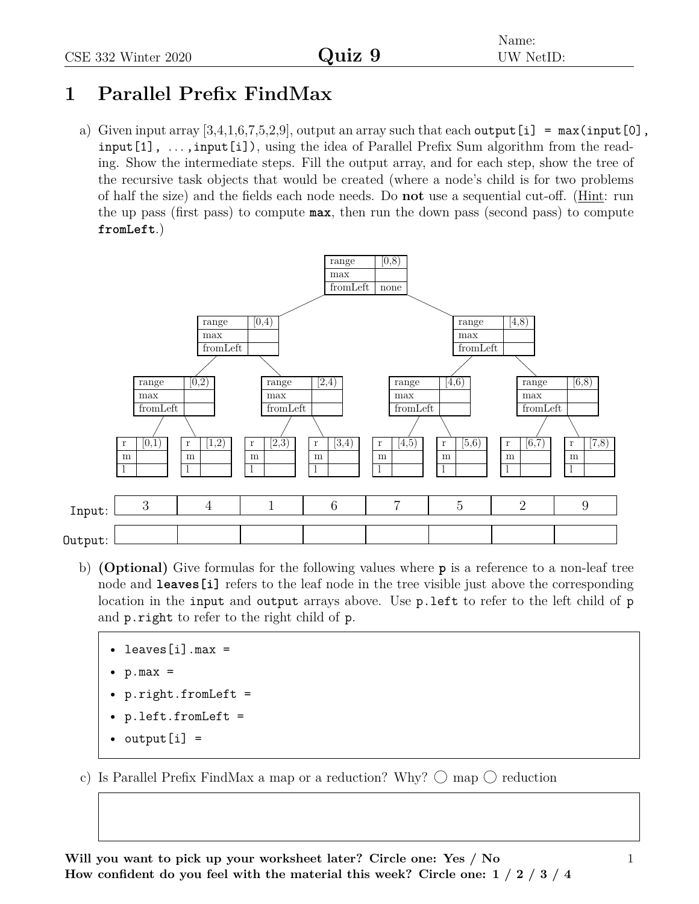## **1 Parallel Prefix FindMax**

a) Given input array  $[3,4,1,6,7,5,2,9]$ , output an array such that each output [i] = max(input [0], input [1],  $\dots$ , input [i]), using the idea of Parallel Prefix Sum algorithm from the reading. Show the intermediate steps. Fill the output array, and for each step, show the tree of the recursive task objects that would be created (where a node's child is for two problems of half the size) and the fields each node needs. Do **not** use a sequential cut-off. (Hint: run the up pass (first pass) to compute **max**, then run the down pass (second pass) to compute **fromLeft**.)



- b) **(Optional)** Give formulas for the following values where **p** is a reference to a non-leaf tree node and **leaves** [i] refers to the leaf node in the tree visible just above the corresponding location in the input and output arrays above. Use p. left to refer to the left child of p and p.right to refer to the right child of p.
	- $leaves[i] . max =$
	- $p.max =$
	- p.right.fromLeft =
	- p.left.fromLeft =
	- output $[i] =$
- c) Is Parallel Prefix FindMax a map or a reduction? Why?  $\bigcirc$  map  $\bigcirc$  reduction